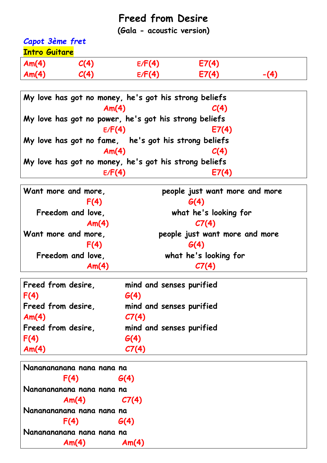## **Freed from Desire**

**(Gala - acoustic version)**

## *Capot 3ème fret* **Intro Guitare**

| Am(4) | C(4) | E/F(4) | E7(4) |  |
|-------|------|--------|-------|--|
| Am(4) | C(4) | E/F(4) | E7(4) |  |

|  |  |        | My love has got no money, he's got his strong beliefs |       |
|--|--|--------|-------------------------------------------------------|-------|
|  |  | Am(4)  |                                                       | C(4)  |
|  |  |        | My love has got no power, he's got his strong beliefs |       |
|  |  | E/F(4) |                                                       | E7(4) |
|  |  |        | My love has got no fame, he's got his strong beliefs  |       |
|  |  | Am(4)  |                                                       | C(4)  |
|  |  |        | My love has got no money, he's got his strong beliefs |       |
|  |  | E/F(4) |                                                       | E7(4) |

| Want more and more, | people just want more and more |
|---------------------|--------------------------------|
| F(4)                | G(4)                           |
| Freedom and love,   | what he's looking for          |
| Am(4)               | C7(4)                          |
| Want more and more, | people just want more and more |
| F(4)                | G(4)                           |
| Freedom and love,   | what he's looking for          |
| Am(4)               | C7(4)                          |

| Freed from desire, | mind and senses purified |
|--------------------|--------------------------|
| F(4)               | G(4)                     |
| Freed from desire, | mind and senses purified |
| Am(4)              | CI(4)                    |
| Freed from desire, | mind and senses purified |
| F(4)               | G(4)                     |
| Am(4)              | C7(4)                    |

| Nananananana nana nana na |       |
|---------------------------|-------|
| F(4)                      | G(4)  |
| Nananananana nana nana na |       |
| Am(4)                     | C7(4) |
| Nananananana nana nana na |       |
| F(4)                      | G(4)  |
| Nananananana nana nana na |       |
| Am(4)                     | Am(4) |